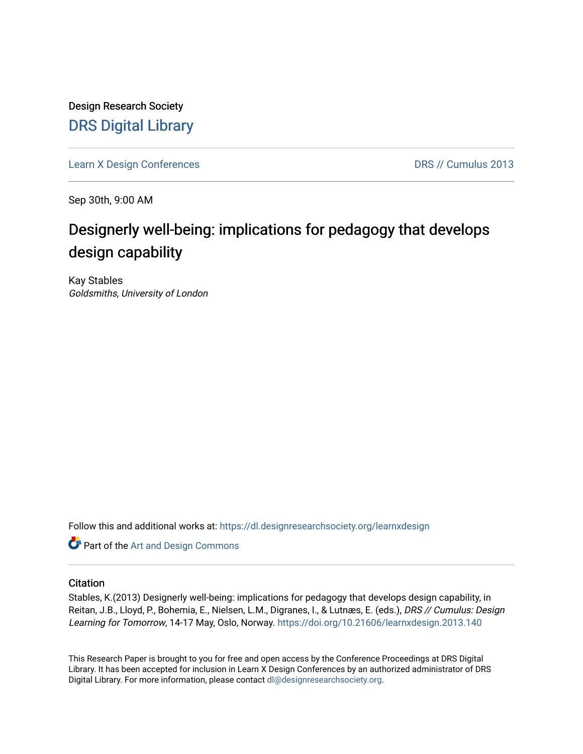Design Research Society [DRS Digital Library](https://dl.designresearchsociety.org/)

[Learn X Design Conferences](https://dl.designresearchsociety.org/learnxdesign) **DRS // Cumulus 2013** 

Sep 30th, 9:00 AM

# Designerly well-being: implications for pedagogy that develops design capability

Kay Stables Goldsmiths, University of London

Follow this and additional works at: [https://dl.designresearchsociety.org/learnxdesign](https://dl.designresearchsociety.org/learnxdesign?utm_source=dl.designresearchsociety.org%2Flearnxdesign%2Flearnxdesign2013%2Fresearchpapers%2F138&utm_medium=PDF&utm_campaign=PDFCoverPages)

**Part of the [Art and Design Commons](http://network.bepress.com/hgg/discipline/1049?utm_source=dl.designresearchsociety.org%2Flearnxdesign%2Flearnxdesign2013%2Fresearchpapers%2F138&utm_medium=PDF&utm_campaign=PDFCoverPages)** 

## **Citation**

Stables, K.(2013) Designerly well-being: implications for pedagogy that develops design capability, in Reitan, J.B., Lloyd, P., Bohemia, E., Nielsen, L.M., Digranes, I., & Lutnæs, E. (eds.), DRS // Cumulus: Design Learning for Tomorrow, 14-17 May, Oslo, Norway. <https://doi.org/10.21606/learnxdesign.2013.140>

This Research Paper is brought to you for free and open access by the Conference Proceedings at DRS Digital Library. It has been accepted for inclusion in Learn X Design Conferences by an authorized administrator of DRS Digital Library. For more information, please contact [dl@designresearchsociety.org](mailto:dl@designresearchsociety.org).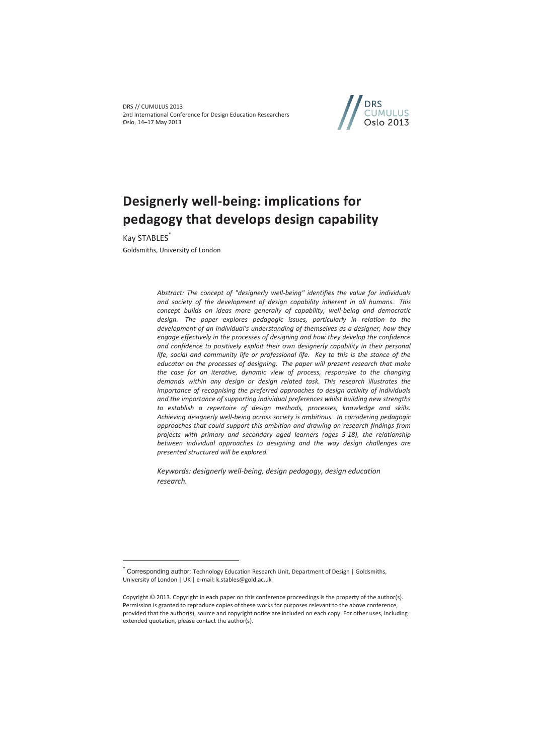DRS // CUMULUS 2013 2nd International Conference for Design Education Researchers Oslo, 14–17 May 2013



# **Designerly well-being: implications for pedagogy that develops design capability**

Kay STABLES\*

 $\overline{a}$ 

Goldsmiths, University of London

*Abstract: The concept of "designerly well-being" identifies the value for individuals and society of the development of design capability inherent in all humans. This concept builds on ideas more generally of capability, well-being and democratic design. The paper explores pedagogic issues, particularly in relation to the development of an individual's understanding of themselves as a designer, how they engage effectively in the processes of designing and how they develop the confidence and confidence to positively exploit their own designerly capability in their personal*  life, social and community life or professional life. Key to this is the stance of the *educator on the processes of designing. The paper will present research that make the case for an iterative, dynamic view of process, responsive to the changing demands within any design or design related task. This research illustrates the importance of recognising the preferred approaches to design activity of individuals and the importance of supporting individual preferences whilst building new strengths to establish a repertoire of design methods, processes, knowledge and skills. Achieving designerly well-being across society is ambitious. In considering pedagogic approaches that could support this ambition and drawing on research findings from projects with primary and secondary aged learners (ages 5-18), the relationship between individual approaches to designing and the way design challenges are presented structured will be explored.* 

*Keywords: designerly well-being, design pedagogy, design education research.* 

<sup>\*</sup> Corresponding author: Technology Education Research Unit, Department of Design | Goldsmiths, University of London | UK | e-mail: k.stables@gold.ac.uk

Copyright © 2013. Copyright in each paper on this conference proceedings is the property of the author(s). Permission is granted to reproduce copies of these works for purposes relevant to the above conference, provided that the author(s), source and copyright notice are included on each copy. For other uses, including extended quotation, please contact the author(s).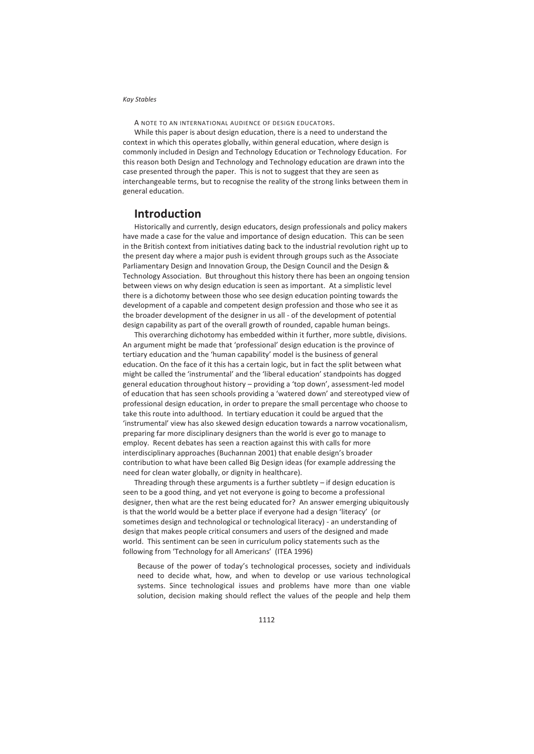A NOTE TO AN INTERNATIONAL AUDIENCE OF DESIGN EDUCATORS.

While this paper is about design education, there is a need to understand the context in which this operates globally, within general education, where design is commonly included in Design and Technology Education or Technology Education. For this reason both Design and Technology and Technology education are drawn into the case presented through the paper. This is not to suggest that they are seen as interchangeable terms, but to recognise the reality of the strong links between them in general education.

## **Introduction**

Historically and currently, design educators, design professionals and policy makers have made a case for the value and importance of design education. This can be seen in the British context from initiatives dating back to the industrial revolution right up to the present day where a major push is evident through groups such as the Associate Parliamentary Design and Innovation Group, the Design Council and the Design & Technology Association. But throughout this history there has been an ongoing tension between views on why design education is seen as important. At a simplistic level there is a dichotomy between those who see design education pointing towards the development of a capable and competent design profession and those who see it as the broader development of the designer in us all - of the development of potential design capability as part of the overall growth of rounded, capable human beings.

This overarching dichotomy has embedded within it further, more subtle, divisions. An argument might be made that 'professional' design education is the province of tertiary education and the 'human capability' model is the business of general education. On the face of it this has a certain logic, but in fact the split between what might be called the 'instrumental' and the 'liberal education' standpoints has dogged general education throughout history – providing a 'top down', assessment-led model of education that has seen schools providing a 'watered down' and stereotyped view of professional design education, in order to prepare the small percentage who choose to take this route into adulthood. In tertiary education it could be argued that the 'instrumental' view has also skewed design education towards a narrow vocationalism, preparing far more disciplinary designers than the world is ever go to manage to employ. Recent debates has seen a reaction against this with calls for more interdisciplinary approaches (Buchannan 2001) that enable design's broader contribution to what have been called Big Design ideas (for example addressing the need for clean water globally, or dignity in healthcare).

Threading through these arguments is a further subtlety – if design education is seen to be a good thing, and yet not everyone is going to become a professional designer, then what are the rest being educated for? An answer emerging ubiquitously is that the world would be a better place if everyone had a design 'literacy' (or sometimes design and technological or technological literacy) - an understanding of design that makes people critical consumers and users of the designed and made world. This sentiment can be seen in curriculum policy statements such as the following from 'Technology for all Americans' (ITEA 1996)

Because of the power of today's technological processes, society and individuals need to decide what, how, and when to develop or use various technological systems. Since technological issues and problems have more than one viable solution, decision making should reflect the values of the people and help them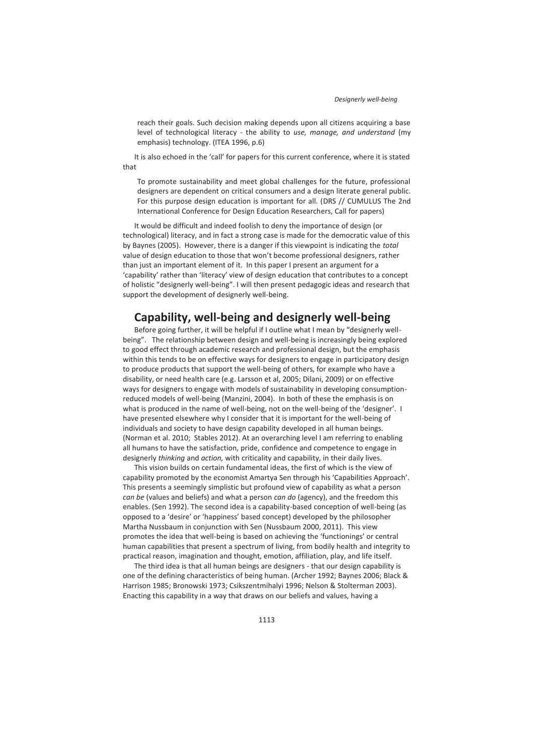reach their goals. Such decision making depends upon all citizens acquiring a base level of technological literacy - the ability to *use, manage, and understand* (my emphasis) technology. (ITEA 1996, p.6)

It is also echoed in the 'call' for papers for this current conference, where it is stated that

To promote sustainability and meet global challenges for the future, professional designers are dependent on critical consumers and a design literate general public. For this purpose design education is important for all. (DRS // CUMULUS The 2nd International Conference for Design Education Researchers, Call for papers)

It would be difficult and indeed foolish to deny the importance of design (or technological) literacy, and in fact a strong case is made for the democratic value of this by Baynes (2005). However, there is a danger if this viewpoint is indicating the *total* value of design education to those that won't become professional designers, rather than just an important element of it. In this paper I present an argument for a 'capability' rather than 'literacy' view of design education that contributes to a concept of holistic "designerly well-being". I will then present pedagogic ideas and research that support the development of designerly well-being.

## **Capability, well-being and designerly well-being**

Before going further, it will be helpful if I outline what I mean by "designerly wellbeing". The relationship between design and well-being is increasingly being explored to good effect through academic research and professional design, but the emphasis within this tends to be on effective ways for designers to engage in participatory design to produce products that support the well-being of others, for example who have a disability, or need health care (e.g. Larsson et al, 2005; Dilani, 2009) or on effective ways for designers to engage with models of sustainability in developing consumptionreduced models of well-being (Manzini, 2004). In both of these the emphasis is on what is produced in the name of well-being, not on the well-being of the 'designer'. I have presented elsewhere why I consider that it is important for the well-being of individuals and society to have design capability developed in all human beings. (Norman et al. 2010; Stables 2012). At an overarching level I am referring to enabling all humans to have the satisfaction, pride, confidence and competence to engage in designerly *thinking* and *action,* with criticality and capability, in their daily lives.

This vision builds on certain fundamental ideas, the first of which is the view of capability promoted by the economist Amartya Sen through his 'Capabilities Approach'. This presents a seemingly simplistic but profound view of capability as what a person *can be* (values and beliefs) and what a person *can do* (agency), and the freedom this enables. (Sen 1992). The second idea is a capability-based conception of well-being (as opposed to a 'desire' or 'happiness' based concept) developed by the philosopher Martha Nussbaum in conjunction with Sen (Nussbaum 2000, 2011). This view promotes the idea that well-being is based on achieving the 'functionings' or central human capabilities that present a spectrum of living, from bodily health and integrity to practical reason, imagination and thought, emotion, affiliation, play, and life itself.

The third idea is that all human beings are designers - that our design capability is one of the defining characteristics of being human. (Archer 1992; Baynes 2006; Black & Harrison 1985; Bronowski 1973; Csikszentmihalyi 1996; Nelson & Stolterman 2003). Enacting this capability in a way that draws on our beliefs and values, having a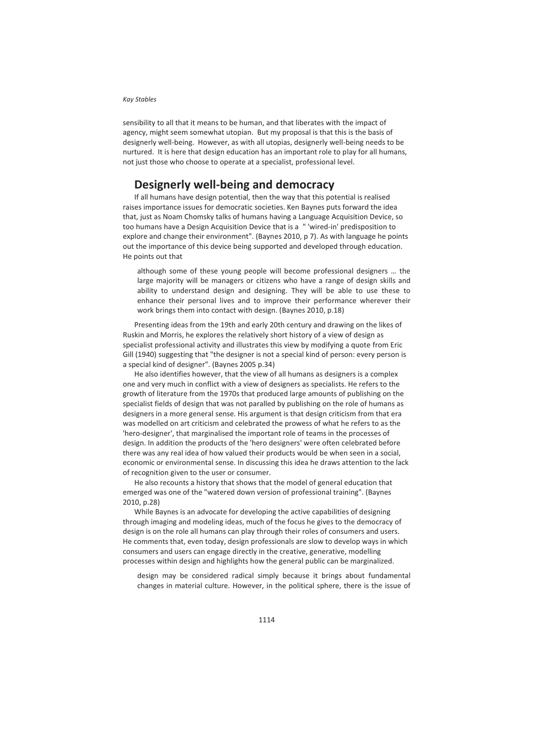sensibility to all that it means to be human, and that liberates with the impact of agency, might seem somewhat utopian. But my proposal is that this is the basis of designerly well-being. However, as with all utopias, designerly well-being needs to be nurtured. It is here that design education has an important role to play for all humans, not just those who choose to operate at a specialist, professional level.

# **Designerly well-being and democracy**

If all humans have design potential, then the way that this potential is realised raises importance issues for democratic societies. Ken Baynes puts forward the idea that, just as Noam Chomsky talks of humans having a Language Acquisition Device, so too humans have a Design Acquisition Device that is a " 'wired-in' predisposition to explore and change their environment". (Baynes 2010, p 7). As with language he points out the importance of this device being supported and developed through education. He points out that

although some of these young people will become professional designers … the large majority will be managers or citizens who have a range of design skills and ability to understand design and designing. They will be able to use these to enhance their personal lives and to improve their performance wherever their work brings them into contact with design. (Baynes 2010, p.18)

Presenting ideas from the 19th and early 20th century and drawing on the likes of Ruskin and Morris, he explores the relatively short history of a view of design as specialist professional activity and illustrates this view by modifying a quote from Eric Gill (1940) suggesting that "the designer is not a special kind of person: every person is a special kind of designer". (Baynes 2005 p.34)

He also identifies however, that the view of all humans as designers is a complex one and very much in conflict with a view of designers as specialists. He refers to the growth of literature from the 1970s that produced large amounts of publishing on the specialist fields of design that was not paralled by publishing on the role of humans as designers in a more general sense. His argument is that design criticism from that era was modelled on art criticism and celebrated the prowess of what he refers to as the 'hero-designer', that marginalised the important role of teams in the processes of design. In addition the products of the 'hero designers' were often celebrated before there was any real idea of how valued their products would be when seen in a social, economic or environmental sense. In discussing this idea he draws attention to the lack of recognition given to the user or consumer.

He also recounts a history that shows that the model of general education that emerged was one of the "watered down version of professional training". (Baynes 2010, p.28)

While Baynes is an advocate for developing the active capabilities of designing through imaging and modeling ideas, much of the focus he gives to the democracy of design is on the role all humans can play through their roles of consumers and users. He comments that, even today, design professionals are slow to develop ways in which consumers and users can engage directly in the creative, generative, modelling processes within design and highlights how the general public can be marginalized.

design may be considered radical simply because it brings about fundamental changes in material culture. However, in the political sphere, there is the issue of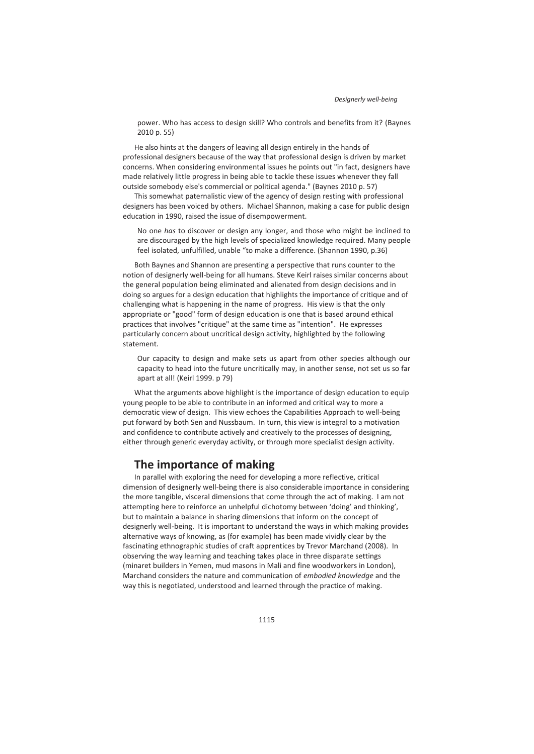power. Who has access to design skill? Who controls and benefits from it? (Baynes 2010 p. 55)

He also hints at the dangers of leaving all design entirely in the hands of professional designers because of the way that professional design is driven by market concerns. When considering environmental issues he points out "in fact, designers have made relatively little progress in being able to tackle these issues whenever they fall outside somebody else's commercial or political agenda." (Baynes 2010 p. 57)

This somewhat paternalistic view of the agency of design resting with professional designers has been voiced by others. Michael Shannon, making a case for public design education in 1990, raised the issue of disempowerment.

No one *has* to discover or design any longer, and those who might be inclined to are discouraged by the high levels of specialized knowledge required. Many people feel isolated, unfulfilled, unable "to make a difference. (Shannon 1990, p.36)

Both Baynes and Shannon are presenting a perspective that runs counter to the notion of designerly well-being for all humans. Steve Keirl raises similar concerns about the general population being eliminated and alienated from design decisions and in doing so argues for a design education that highlights the importance of critique and of challenging what is happening in the name of progress. His view is that the only appropriate or "good" form of design education is one that is based around ethical practices that involves "critique" at the same time as "intention". He expresses particularly concern about uncritical design activity, highlighted by the following statement.

Our capacity to design and make sets us apart from other species although our capacity to head into the future uncritically may, in another sense, not set us so far apart at all! (Keirl 1999. p 79)

What the arguments above highlight is the importance of design education to equip young people to be able to contribute in an informed and critical way to more a democratic view of design. This view echoes the Capabilities Approach to well-being put forward by both Sen and Nussbaum. In turn, this view is integral to a motivation and confidence to contribute actively and creatively to the processes of designing, either through generic everyday activity, or through more specialist design activity.

# **The importance of making**

In parallel with exploring the need for developing a more reflective, critical dimension of designerly well-being there is also considerable importance in considering the more tangible, visceral dimensions that come through the act of making. I am not attempting here to reinforce an unhelpful dichotomy between 'doing' and thinking', but to maintain a balance in sharing dimensions that inform on the concept of designerly well-being. It is important to understand the ways in which making provides alternative ways of knowing, as (for example) has been made vividly clear by the fascinating ethnographic studies of craft apprentices by Trevor Marchand (2008). In observing the way learning and teaching takes place in three disparate settings (minaret builders in Yemen, mud masons in Mali and fine woodworkers in London), Marchand considers the nature and communication of *embodied knowledge* and the way this is negotiated, understood and learned through the practice of making.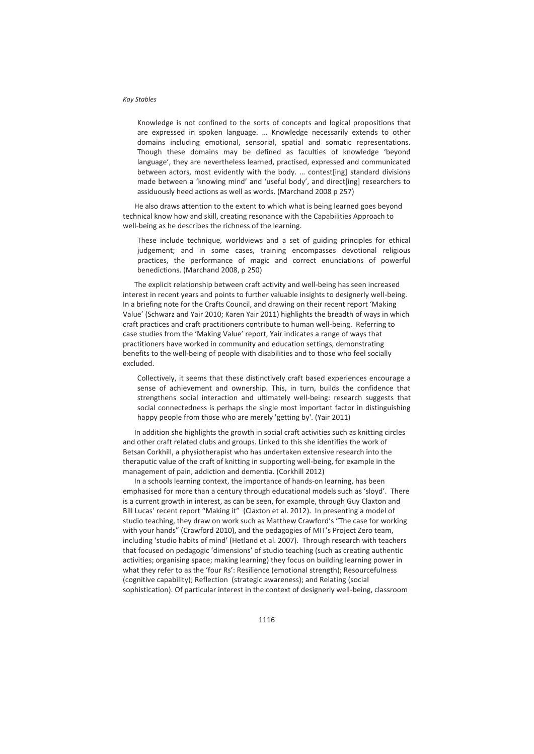Knowledge is not confined to the sorts of concepts and logical propositions that are expressed in spoken language. … Knowledge necessarily extends to other domains including emotional, sensorial, spatial and somatic representations. Though these domains may be defined as faculties of knowledge 'beyond language', they are nevertheless learned, practised, expressed and communicated between actors, most evidently with the body. … contest[ing] standard divisions made between a 'knowing mind' and 'useful body', and direct[ing] researchers to assiduously heed actions as well as words. (Marchand 2008 p 257)

He also draws attention to the extent to which what is being learned goes beyond technical know how and skill, creating resonance with the Capabilities Approach to well-being as he describes the richness of the learning.

These include technique, worldviews and a set of guiding principles for ethical judgement; and in some cases, training encompasses devotional religious practices, the performance of magic and correct enunciations of powerful benedictions. (Marchand 2008, p 250)

The explicit relationship between craft activity and well-being has seen increased interest in recent years and points to further valuable insights to designerly well-being. In a briefing note for the Crafts Council, and drawing on their recent report 'Making Value' (Schwarz and Yair 2010; Karen Yair 2011) highlights the breadth of ways in which craft practices and craft practitioners contribute to human well-being. Referring to case studies from the 'Making Value' report, Yair indicates a range of ways that practitioners have worked in community and education settings, demonstrating benefits to the well-being of people with disabilities and to those who feel socially excluded.

Collectively, it seems that these distinctively craft based experiences encourage a sense of achievement and ownership. This, in turn, builds the confidence that strengthens social interaction and ultimately well-being: research suggests that social connectedness is perhaps the single most important factor in distinguishing happy people from those who are merely 'getting by'. (Yair 2011)

In addition she highlights the growth in social craft activities such as knitting circles and other craft related clubs and groups. Linked to this she identifies the work of Betsan Corkhill, a physiotherapist who has undertaken extensive research into the theraputic value of the craft of knitting in supporting well-being, for example in the management of pain, addiction and dementia. (Corkhill 2012)

In a schools learning context, the importance of hands-on learning, has been emphasised for more than a century through educational models such as 'sloyd'. There is a current growth in interest, as can be seen, for example, through Guy Claxton and Bill Lucas' recent report "Making it" (Claxton et al. 2012). In presenting a model of studio teaching, they draw on work such as Matthew Crawford's "The case for working with your hands" (Crawford 2010), and the pedagogies of MIT's Project Zero team, including 'studio habits of mind' (Hetland et al. 2007). Through research with teachers that focused on pedagogic 'dimensions' of studio teaching (such as creating authentic activities; organising space; making learning) they focus on building learning power in what they refer to as the 'four Rs': Resilience (emotional strength); Resourcefulness (cognitive capability); Reflection (strategic awareness); and Relating (social sophistication). Of particular interest in the context of designerly well-being, classroom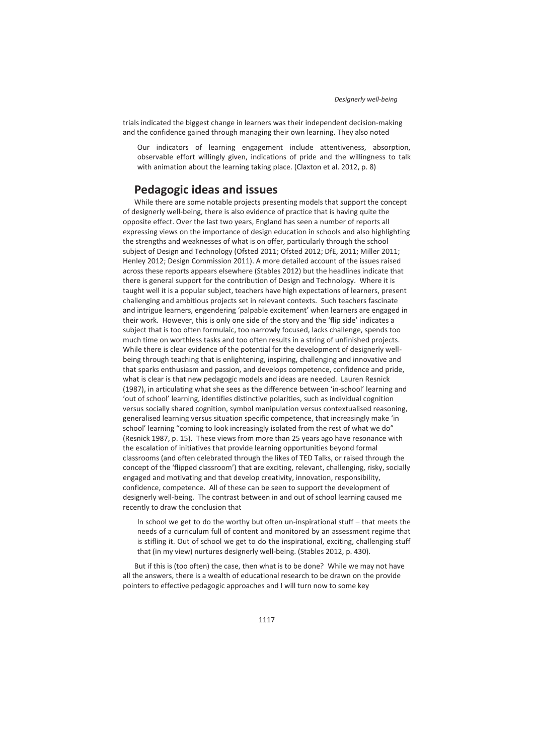trials indicated the biggest change in learners was their independent decision-making and the confidence gained through managing their own learning. They also noted

Our indicators of learning engagement include attentiveness, absorption, observable effort willingly given, indications of pride and the willingness to talk with animation about the learning taking place. (Claxton et al. 2012, p. 8)

# **Pedagogic ideas and issues**

While there are some notable projects presenting models that support the concept of designerly well-being, there is also evidence of practice that is having quite the opposite effect. Over the last two years, England has seen a number of reports all expressing views on the importance of design education in schools and also highlighting the strengths and weaknesses of what is on offer, particularly through the school subject of Design and Technology (Ofsted 2011; Ofsted 2012; DfE, 2011; Miller 2011; Henley 2012; Design Commission 2011). A more detailed account of the issues raised across these reports appears elsewhere (Stables 2012) but the headlines indicate that there is general support for the contribution of Design and Technology. Where it is taught well it is a popular subject, teachers have high expectations of learners, present challenging and ambitious projects set in relevant contexts. Such teachers fascinate and intrigue learners, engendering 'palpable excitement' when learners are engaged in their work. However, this is only one side of the story and the 'flip side' indicates a subject that is too often formulaic, too narrowly focused, lacks challenge, spends too much time on worthless tasks and too often results in a string of unfinished projects. While there is clear evidence of the potential for the development of designerly wellbeing through teaching that is enlightening, inspiring, challenging and innovative and that sparks enthusiasm and passion, and develops competence, confidence and pride, what is clear is that new pedagogic models and ideas are needed. Lauren Resnick (1987), in articulating what she sees as the difference between 'in-school' learning and 'out of school' learning, identifies distinctive polarities, such as individual cognition versus socially shared cognition, symbol manipulation versus contextualised reasoning, generalised learning versus situation specific competence, that increasingly make 'in school' learning "coming to look increasingly isolated from the rest of what we do" (Resnick 1987, p. 15). These views from more than 25 years ago have resonance with the escalation of initiatives that provide learning opportunities beyond formal classrooms (and often celebrated through the likes of TED Talks, or raised through the concept of the 'flipped classroom') that are exciting, relevant, challenging, risky, socially engaged and motivating and that develop creativity, innovation, responsibility, confidence, competence. All of these can be seen to support the development of designerly well-being. The contrast between in and out of school learning caused me recently to draw the conclusion that

In school we get to do the worthy but often un-inspirational stuff – that meets the needs of a curriculum full of content and monitored by an assessment regime that is stifling it. Out of school we get to do the inspirational, exciting, challenging stuff that (in my view) nurtures designerly well-being. (Stables 2012, p. 430).

But if this is (too often) the case, then what is to be done? While we may not have all the answers, there is a wealth of educational research to be drawn on the provide pointers to effective pedagogic approaches and I will turn now to some key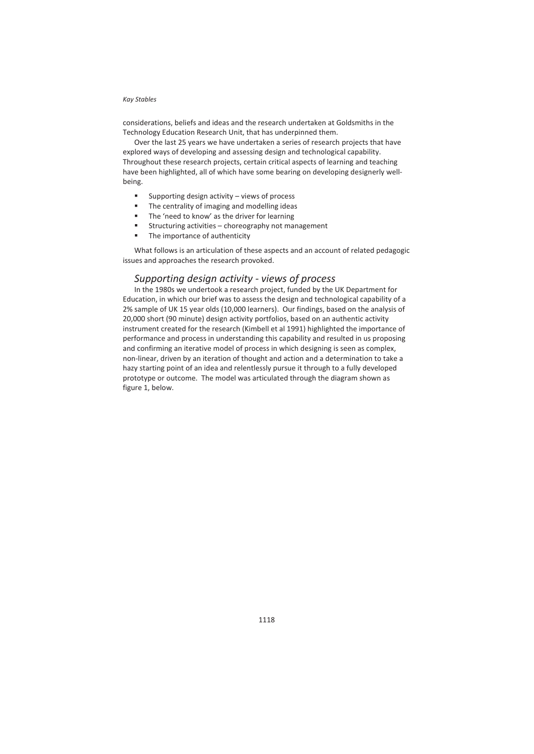considerations, beliefs and ideas and the research undertaken at Goldsmiths in the Technology Education Research Unit, that has underpinned them.

Over the last 25 years we have undertaken a series of research projects that have explored ways of developing and assessing design and technological capability. Throughout these research projects, certain critical aspects of learning and teaching have been highlighted, all of which have some bearing on developing designerly wellbeing.

- $\blacksquare$  Supporting design activity views of process
- The centrality of imaging and modelling ideas
- The 'need to know' as the driver for learning
- Structuring activities choreography not management
- The importance of authenticity

What follows is an articulation of these aspects and an account of related pedagogic issues and approaches the research provoked.

### *Supporting design activity - views of process*

In the 1980s we undertook a research project, funded by the UK Department for Education, in which our brief was to assess the design and technological capability of a 2% sample of UK 15 year olds (10,000 learners). Our findings, based on the analysis of 20,000 short (90 minute) design activity portfolios, based on an authentic activity instrument created for the research (Kimbell et al 1991) highlighted the importance of performance and process in understanding this capability and resulted in us proposing and confirming an iterative model of process in which designing is seen as complex, non-linear, driven by an iteration of thought and action and a determination to take a hazy starting point of an idea and relentlessly pursue it through to a fully developed prototype or outcome. The model was articulated through the diagram shown as figure 1, below.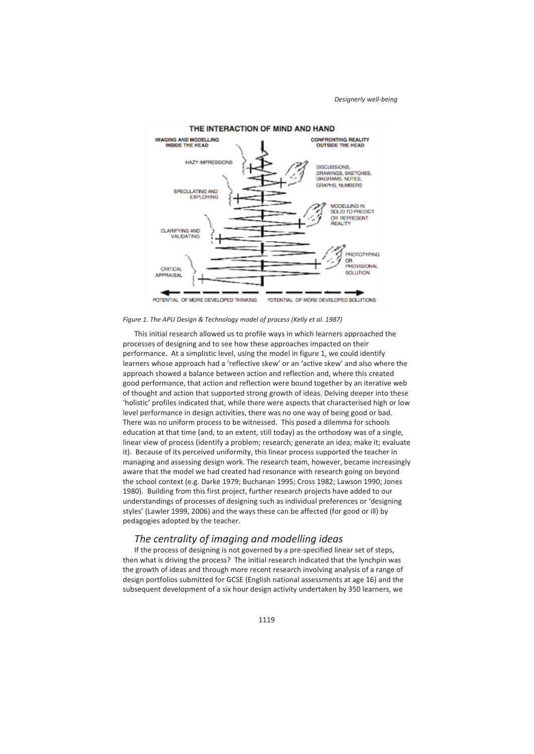

*Figure 1. The APU Design & Technology model of process (Kelly et al. 1987)* 

This initial research allowed us to profile ways in which learners approached the processes of designing and to see how these approaches impacted on their performance. At a simplistic level, using the model in figure 1, we could identify learners whose approach had a 'reflective skew' or an 'active skew' and also where the approach showed a balance between action and reflection and, where this created good performance, that action and reflection were bound together by an iterative web of thought and action that supported strong growth of ideas. Delving deeper into these 'holistic' profiles indicated that, while there were aspects that characterised high or low level performance in design activities, there was no one way of being good or bad. There was no uniform process to be witnessed. This posed a dilemma for schools education at that time (and, to an extent, still today) as the orthodoxy was of a single, linear view of process (identify a problem; research; generate an idea; make it; evaluate it). Because of its perceived uniformity, this linear process supported the teacher in managing and assessing design work. The research team, however, became increasingly aware that the model we had created had resonance with research going on beyond the school context (e.g. Darke 1979; Buchanan 1995; Cross 1982; Lawson 1990; Jones 1980). Building from this first project, further research projects have added to our understandings of processes of designing such as individual preferences or 'designing styles' (Lawler 1999, 2006) and the ways these can be affected (for good or ill) by pedagogies adopted by the teacher.

## *The centrality of imaging and modelling ideas*

If the process of designing is not governed by a pre-specified linear set of steps, then what is driving the process? The initial research indicated that the lynchpin was the growth of ideas and through more recent research involving analysis of a range of design portfolios submitted for GCSE (English national assessments at age 16) and the subsequent development of a six hour design activity undertaken by 350 learners, we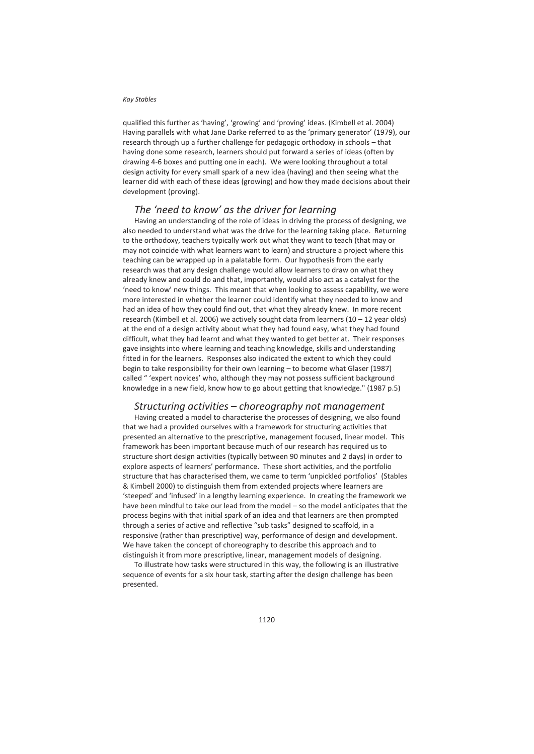qualified this further as 'having', 'growing' and 'proving' ideas. (Kimbell et al. 2004) Having parallels with what Jane Darke referred to as the 'primary generator' (1979), our research through up a further challenge for pedagogic orthodoxy in schools – that having done some research, learners should put forward a series of ideas (often by drawing 4-6 boxes and putting one in each). We were looking throughout a total design activity for every small spark of a new idea (having) and then seeing what the learner did with each of these ideas (growing) and how they made decisions about their development (proving).

## *The 'need to know' as the driver for learning*

Having an understanding of the role of ideas in driving the process of designing, we also needed to understand what was the drive for the learning taking place. Returning to the orthodoxy, teachers typically work out what they want to teach (that may or may not coincide with what learners want to learn) and structure a project where this teaching can be wrapped up in a palatable form. Our hypothesis from the early research was that any design challenge would allow learners to draw on what they already knew and could do and that, importantly, would also act as a catalyst for the 'need to know' new things. This meant that when looking to assess capability, we were more interested in whether the learner could identify what they needed to know and had an idea of how they could find out, that what they already knew. In more recent research (Kimbell et al. 2006) we actively sought data from learners (10 – 12 year olds) at the end of a design activity about what they had found easy, what they had found difficult, what they had learnt and what they wanted to get better at. Their responses gave insights into where learning and teaching knowledge, skills and understanding fitted in for the learners. Responses also indicated the extent to which they could begin to take responsibility for their own learning – to become what Glaser (1987) called " 'expert novices' who, although they may not possess sufficient background knowledge in a new field, know how to go about getting that knowledge." (1987 p.5)

### *Structuring activities – choreography not management*

Having created a model to characterise the processes of designing, we also found that we had a provided ourselves with a framework for structuring activities that presented an alternative to the prescriptive, management focused, linear model. This framework has been important because much of our research has required us to structure short design activities (typically between 90 minutes and 2 days) in order to explore aspects of learners' performance. These short activities, and the portfolio structure that has characterised them, we came to term 'unpickled portfolios' (Stables & Kimbell 2000) to distinguish them from extended projects where learners are 'steeped' and 'infused' in a lengthy learning experience. In creating the framework we have been mindful to take our lead from the model – so the model anticipates that the process begins with that initial spark of an idea and that learners are then prompted through a series of active and reflective "sub tasks" designed to scaffold, in a responsive (rather than prescriptive) way, performance of design and development. We have taken the concept of choreography to describe this approach and to distinguish it from more prescriptive, linear, management models of designing.

To illustrate how tasks were structured in this way, the following is an illustrative sequence of events for a six hour task, starting after the design challenge has been presented.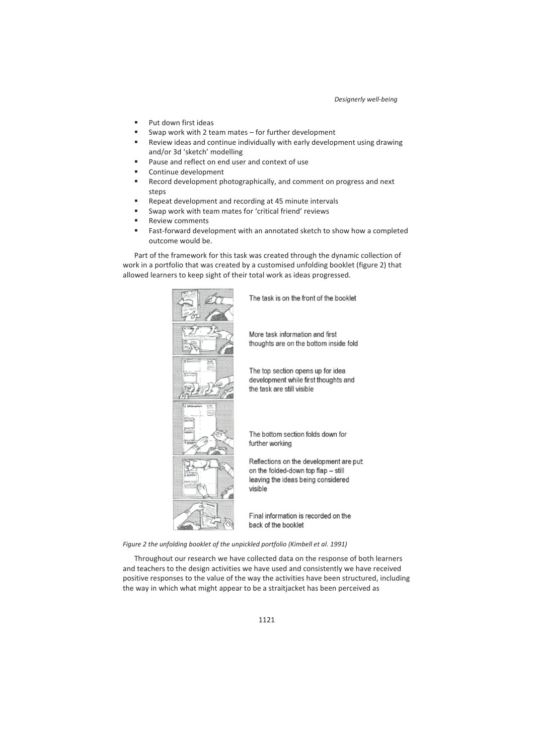- Put down first ideas
- Swap work with 2 team mates for further development
- Review ideas and continue individually with early development using drawing and/or 3d 'sketch' modelling
- Pause and reflect on end user and context of use
- Continue development
- Record development photographically, and comment on progress and next steps
- Repeat development and recording at 45 minute intervals
- Swap work with team mates for 'critical friend' reviews
- Review comments
- Fast-forward development with an annotated sketch to show how a completed outcome would be.

Part of the framework for this task was created through the dynamic collection of work in a portfolio that was created by a customised unfolding booklet (figure 2) that allowed learners to keep sight of their total work as ideas progressed.



The task is on the front of the booklet

More task information and first thoughts are on the bottom inside fold

The top section opens up for idea development while first thoughts and the task are still visible

The bottom section folds down for further working

Reflections on the development are put on the folded-down top flap - still leaving the ideas being considered visible

Final information is recorded on the back of the booklet

*Figure 2 the unfolding booklet of the unpickled portfolio (Kimbell et al. 1991)* 

Throughout our research we have collected data on the response of both learners and teachers to the design activities we have used and consistently we have received positive responses to the value of the way the activities have been structured, including the way in which what might appear to be a straitjacket has been perceived as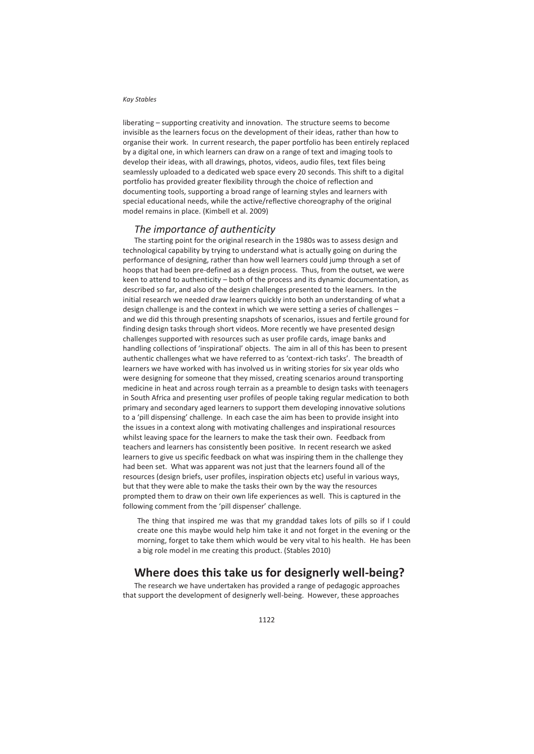liberating – supporting creativity and innovation. The structure seems to become invisible as the learners focus on the development of their ideas, rather than how to organise their work. In current research, the paper portfolio has been entirely replaced by a digital one, in which learners can draw on a range of text and imaging tools to develop their ideas, with all drawings, photos, videos, audio files, text files being seamlessly uploaded to a dedicated web space every 20 seconds. This shift to a digital portfolio has provided greater flexibility through the choice of reflection and documenting tools, supporting a broad range of learning styles and learners with special educational needs, while the active/reflective choreography of the original model remains in place. (Kimbell et al. 2009)

### *The importance of authenticity*

The starting point for the original research in the 1980s was to assess design and technological capability by trying to understand what is actually going on during the performance of designing, rather than how well learners could jump through a set of hoops that had been pre-defined as a design process. Thus, from the outset, we were keen to attend to authenticity – both of the process and its dynamic documentation, as described so far, and also of the design challenges presented to the learners. In the initial research we needed draw learners quickly into both an understanding of what a design challenge is and the context in which we were setting a series of challenges – and we did this through presenting snapshots of scenarios, issues and fertile ground for finding design tasks through short videos. More recently we have presented design challenges supported with resources such as user profile cards, image banks and handling collections of 'inspirational' objects. The aim in all of this has been to present authentic challenges what we have referred to as 'context-rich tasks'. The breadth of learners we have worked with has involved us in writing stories for six year olds who were designing for someone that they missed, creating scenarios around transporting medicine in heat and across rough terrain as a preamble to design tasks with teenagers in South Africa and presenting user profiles of people taking regular medication to both primary and secondary aged learners to support them developing innovative solutions to a 'pill dispensing' challenge. In each case the aim has been to provide insight into the issues in a context along with motivating challenges and inspirational resources whilst leaving space for the learners to make the task their own. Feedback from teachers and learners has consistently been positive. In recent research we asked learners to give us specific feedback on what was inspiring them in the challenge they had been set. What was apparent was not just that the learners found all of the resources (design briefs, user profiles, inspiration objects etc) useful in various ways, but that they were able to make the tasks their own by the way the resources prompted them to draw on their own life experiences as well. This is captured in the following comment from the 'pill dispenser' challenge.

The thing that inspired me was that my granddad takes lots of pills so if I could create one this maybe would help him take it and not forget in the evening or the morning, forget to take them which would be very vital to his health. He has been a big role model in me creating this product. (Stables 2010)

## **Where does this take us for designerly well-being?**

The research we have undertaken has provided a range of pedagogic approaches that support the development of designerly well-being. However, these approaches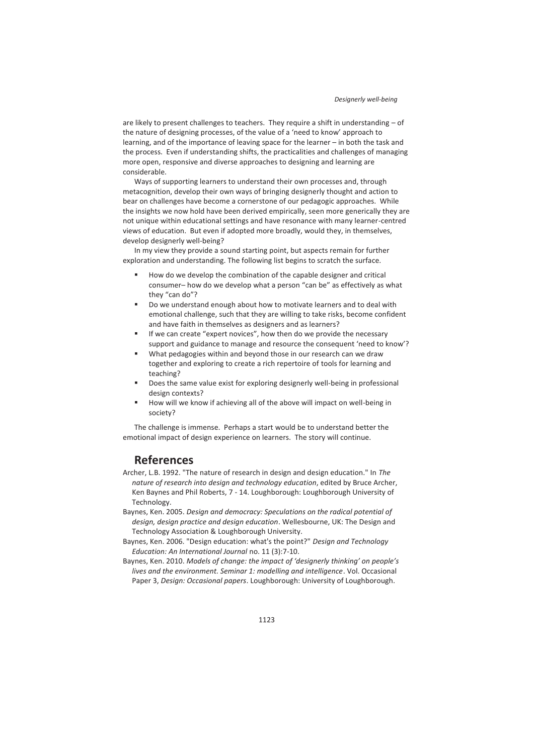are likely to present challenges to teachers. They require a shift in understanding – of the nature of designing processes, of the value of a 'need to know' approach to learning, and of the importance of leaving space for the learner – in both the task and the process. Even if understanding shifts, the practicalities and challenges of managing more open, responsive and diverse approaches to designing and learning are considerable.

Ways of supporting learners to understand their own processes and, through metacognition, develop their own ways of bringing designerly thought and action to bear on challenges have become a cornerstone of our pedagogic approaches. While the insights we now hold have been derived empirically, seen more generically they are not unique within educational settings and have resonance with many learner-centred views of education. But even if adopted more broadly, would they, in themselves, develop designerly well-being?

In my view they provide a sound starting point, but aspects remain for further exploration and understanding. The following list begins to scratch the surface.

- How do we develop the combination of the capable designer and critical consumer– how do we develop what a person "can be" as effectively as what they "can do"?
- Do we understand enough about how to motivate learners and to deal with emotional challenge, such that they are willing to take risks, become confident and have faith in themselves as designers and as learners?
- If we can create "expert novices", how then do we provide the necessary support and guidance to manage and resource the consequent 'need to know'?
- What pedagogies within and beyond those in our research can we draw together and exploring to create a rich repertoire of tools for learning and teaching?
- Does the same value exist for exploring designerly well-being in professional design contexts?
- How will we know if achieving all of the above will impact on well-being in society?

The challenge is immense. Perhaps a start would be to understand better the emotional impact of design experience on learners. The story will continue.

# **References**

- Archer, L.B. 1992. "The nature of research in design and design education." In *The nature of research into design and technology education*, edited by Bruce Archer, Ken Baynes and Phil Roberts, 7 - 14. Loughborough: Loughborough University of Technology.
- Baynes, Ken. 2005. *Design and democracy: Speculations on the radical potential of design, design practice and design education*. Wellesbourne, UK: The Design and Technology Association & Loughborough University.
- Baynes, Ken. 2006. "Design education: what's the point?" *Design and Technology Education: An International Journal* no. 11 (3):7-10.
- Baynes, Ken. 2010. *Models of change: the impact of 'designerly thinking' on people's lives and the environment. Seminar 1: modelling and intelligence*. Vol. Occasional Paper 3, *Design: Occasional papers*. Loughborough: University of Loughborough.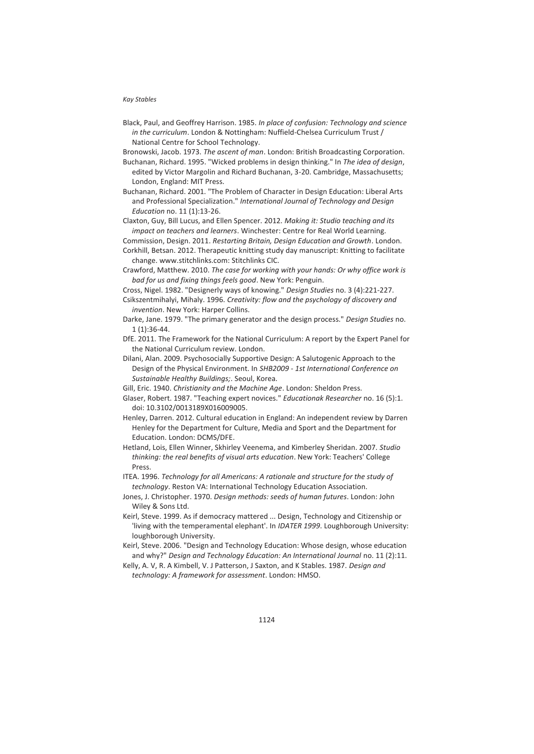Black, Paul, and Geoffrey Harrison. 1985. *In place of confusion: Technology and science in the curriculum*. London & Nottingham: Nuffield-Chelsea Curriculum Trust / National Centre for School Technology.

Bronowski, Jacob. 1973. *The ascent of man*. London: British Broadcasting Corporation.

- Buchanan, Richard. 1995. "Wicked problems in design thinking." In *The idea of design*, edited by Victor Margolin and Richard Buchanan, 3-20. Cambridge, Massachusetts; London, England: MIT Press.
- Buchanan, Richard. 2001. "The Problem of Character in Design Education: Liberal Arts and Professional Specialization." *International Journal of Technology and Design Education* no. 11 (1):13-26.

Claxton, Guy, Bill Lucus, and Ellen Spencer. 2012. *Making it: Studio teaching and its impact on teachers and learners*. Winchester: Centre for Real World Learning.

Commission, Design. 2011. *Restarting Britain, Design Education and Growth*. London.

- Corkhill, Betsan. 2012. Therapeutic knitting study day manuscript: Knitting to facilitate change. www.stitchlinks.com: Stitchlinks CIC.
- Crawford, Matthew. 2010. *The case for working with your hands: Or why office work is bad for us and fixing things feels good*. New York: Penguin.
- Cross, Nigel. 1982. "Designerly ways of knowing." *Design Studies* no. 3 (4):221-227.
- Csikszentmihalyi, Mihaly. 1996. *Creativity: flow and the psychology of discovery and invention*. New York: Harper Collins.
- Darke, Jane. 1979. "The primary generator and the design process." *Design Studies* no. 1 (1):36-44.
- DfE. 2011. The Framework for the National Curriculum: A report by the Expert Panel for the National Curriculum review. London.
- Dilani, Alan. 2009. Psychosocially Supportive Design: A Salutogenic Approach to the Design of the Physical Environment. In *SHB2009 - 1st International Conference on Sustainable Healthy Buildings;*. Seoul, Korea.
- Gill, Eric. 1940. *Christianity and the Machine Age*. London: Sheldon Press.

Glaser, Robert. 1987. "Teaching expert novices." *Educationak Researcher* no. 16 (5):1. doi: 10.3102/0013189X016009005.

Henley, Darren. 2012. Cultural education in England: An independent review by Darren Henley for the Department for Culture, Media and Sport and the Department for Education. London: DCMS/DFE.

Hetland, Lois, Ellen Winner, Skhirley Veenema, and Kimberley Sheridan. 2007. *Studio thinking: the real benefits of visual arts education*. New York: Teachers' College Press.

ITEA. 1996. *Technology for all Americans: A rationale and structure for the study of technology*. Reston VA: International Technology Education Association.

- Jones, J. Christopher. 1970. *Design methods: seeds of human futures*. London: John Wiley & Sons Ltd.
- Keirl, Steve. 1999. As if democracy mattered ... Design, Technology and Citizenship or 'living with the temperamental elephant'. In *IDATER 1999*. Loughborough University: loughborough University.
- Keirl, Steve. 2006. "Design and Technology Education: Whose design, whose education and why?" *Design and Technology Education: An International Journal* no. 11 (2):11.
- Kelly, A. V, R. A Kimbell, V. J Patterson, J Saxton, and K Stables. 1987. *Design and technology: A framework for assessment*. London: HMSO.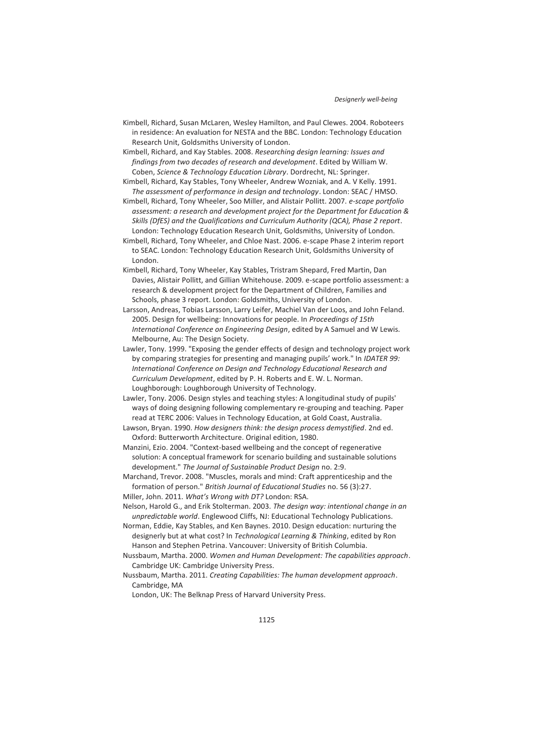*Designerly well-being*

Kimbell, Richard, Susan McLaren, Wesley Hamilton, and Paul Clewes. 2004. Roboteers in residence: An evaluation for NESTA and the BBC. London: Technology Education Research Unit, Goldsmiths University of London.

Kimbell, Richard, and Kay Stables. 2008. *Researching design learning: Issues and findings from two decades of research and development*. Edited by William W. Coben, *Science & Technology Education Library*. Dordrecht, NL: Springer.

Kimbell, Richard, Kay Stables, Tony Wheeler, Andrew Wozniak, and A. V Kelly. 1991. *The assessment of performance in design and technology*. London: SEAC / HMSO.

Kimbell, Richard, Tony Wheeler, Soo Miller, and Alistair Pollitt. 2007. *e-scape portfolio assessment: a research and development project for the Department for Education & Skills (DfES) and the Qualifications and Curriculum Authority (QCA), Phase 2 report*. London: Technology Education Research Unit, Goldsmiths, University of London.

Kimbell, Richard, Tony Wheeler, and Chloe Nast. 2006. e-scape Phase 2 interim report to SEAC. London: Technology Education Research Unit, Goldsmiths University of London.

Kimbell, Richard, Tony Wheeler, Kay Stables, Tristram Shepard, Fred Martin, Dan Davies, Alistair Pollitt, and Gillian Whitehouse. 2009. e-scape portfolio assessment: a research & development project for the Department of Children, Families and Schools, phase 3 report. London: Goldsmiths, University of London.

Larsson, Andreas, Tobias Larsson, Larry Leifer, Machiel Van der Loos, and John Feland. 2005. Design for wellbeing: Innovations for people. In *Proceedings of 15th International Conference on Engineering Design*, edited by A Samuel and W Lewis. Melbourne, Au: The Design Society.

Lawler, Tony. 1999. "Exposing the gender effects of design and technology project work by comparing strategies for presenting and managing pupils' work." In *IDATER 99: International Conference on Design and Technology Educational Research and Curriculum Development*, edited by P. H. Roberts and E. W. L. Norman. Loughborough: Loughborough University of Technology.

Lawler, Tony. 2006. Design styles and teaching styles: A longitudinal study of pupils' ways of doing designing following complementary re-grouping and teaching. Paper read at TERC 2006: Values in Technology Education, at Gold Coast, Australia.

Lawson, Bryan. 1990. *How designers think: the design process demystified*. 2nd ed. Oxford: Butterworth Architecture. Original edition, 1980.

Manzini, Ezio. 2004. "Context-based wellbeing and the concept of regenerative solution: A conceptual framework for scenario building and sustainable solutions development." *The Journal of Sustainable Product Design* no. 2:9.

Marchand, Trevor. 2008. "Muscles, morals and mind: Craft apprenticeship and the formation of person." *British Journal of Educational Studies* no. 56 (3):27.

Miller, John. 2011. *What's Wrong with DT?* London: RSA.

Nelson, Harold G., and Erik Stolterman. 2003. *The design way: intentional change in an unpredictable world*. Englewood Cliffs, NJ: Educational Technology Publications.

Norman, Eddie, Kay Stables, and Ken Baynes. 2010. Design education: nurturing the designerly but at what cost? In *Technological Learning & Thinking*, edited by Ron Hanson and Stephen Petrina. Vancouver: University of British Columbia.

Nussbaum, Martha. 2000. *Women and Human Development: The capabilities approach*. Cambridge UK: Cambridge University Press.

Nussbaum, Martha. 2011. *Creating Capabilities: The human development approach*. Cambridge, MA

London, UK: The Belknap Press of Harvard University Press.